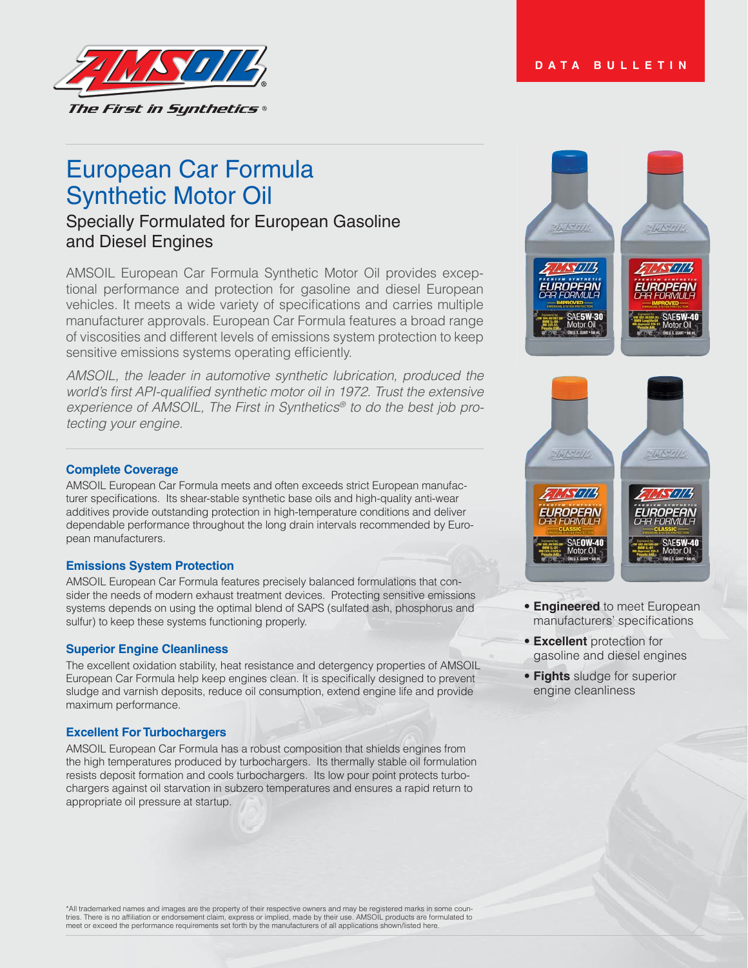# **DATA BULLETIN**



# European Car Formula Synthetic Motor Oil

# Specially Formulated for European Gasoline and Diesel Engines

AMSOIL European Car Formula Synthetic Motor Oil provides exceptional performance and protection for gasoline and diesel European vehicles. It meets a wide variety of specifications and carries multiple manufacturer approvals. European Car Formula features a broad range of viscosities and different levels of emissions system protection to keep sensitive emissions systems operating efficiently.

*AMSOIL, the leader in automotive synthetic lubrication, produced the*  world's first API-qualified synthetic motor oil in 1972. Trust the extensive *Experience of AMSOIL, The First in Synthetics® to do the best job protecting your engine.* 

#### **Complete Coverage**

AMSOIL European Car Formula meets and often exceeds strict European manufacturer specifications. Its shear-stable synthetic base oils and high-quality anti-wear additives provide outstanding protection in high-temperature conditions and deliver dependable performance throughout the long drain intervals recommended by European manufacturers.

#### **Emissions System Protection**

AMSOIL European Car Formula features precisely balanced formulations that consider the needs of modern exhaust treatment devices. Protecting sensitive emissions systems depends on using the optimal blend of SAPS (sulfated ash, phosphorus and sulfur) to keep these systems functioning properly.

#### **Superior Engine Cleanliness**

The excellent oxidation stability, heat resistance and detergency properties of AMSOIL European Car Formula help keep engines clean. It is specifically designed to prevent sludge and varnish deposits, reduce oil consumption, extend engine life and provide maximum performance.

#### **Excellent For Turbochargers**

AMSOIL European Car Formula has a robust composition that shields engines from the high temperatures produced by turbochargers. Its thermally stable oil formulation resists deposit formation and cools turbochargers. Its low pour point protects turbochargers against oil starvation in subzero temperatures and ensures a rapid return to appropriate oil pressure at startup.





- **Engineered** to meet European manufacturers' specifications
- **Excellent** protection for gasoline and diesel engines
- **Fights** sludge for superior engine cleanliness

\*All trademarked names and images are the property of their respective owners and may be registered marks in some countries. There is no affiliation or endorsement claim, express or implied, made by their use. AMSOIL products are formulated to<br>meet or exceed the performance requirements set forth by the manufacturers of all applications s